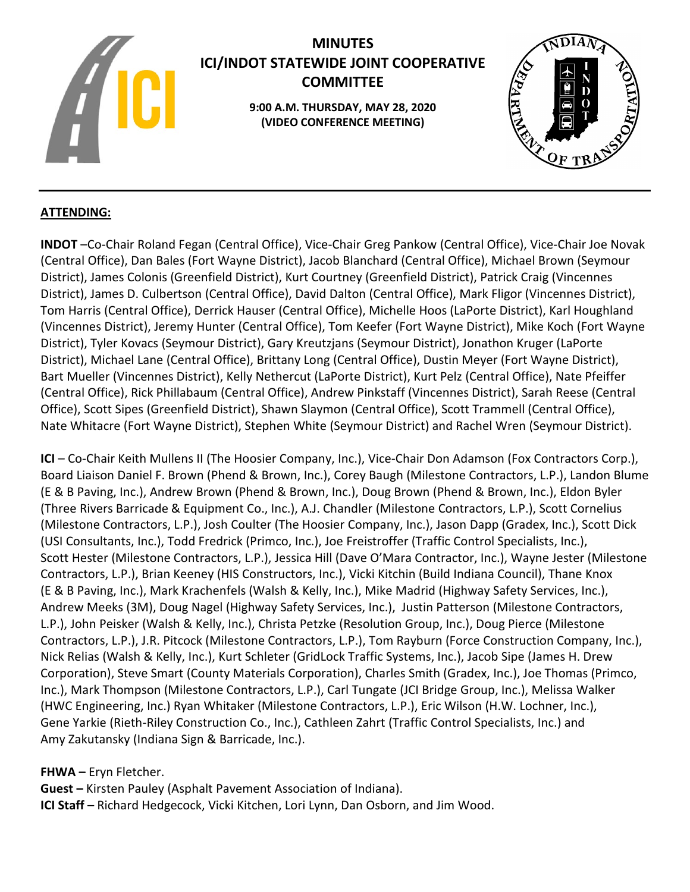

# **MINUTES ICI/INDOT STATEWIDE JOINT COOPERATIVE COMMITTEE**

**9:00 A.M. THURSDAY, MAY 28, 2020 (VIDEO CONFERENCE MEETING)**



# **ATTENDING:**

**INDOT** –Co-Chair Roland Fegan (Central Office), Vice-Chair Greg Pankow (Central Office), Vice-Chair Joe Novak (Central Office), Dan Bales (Fort Wayne District), Jacob Blanchard (Central Office), Michael Brown (Seymour District), James Colonis (Greenfield District), Kurt Courtney (Greenfield District), Patrick Craig (Vincennes District), James D. Culbertson (Central Office), David Dalton (Central Office), Mark Fligor (Vincennes District), Tom Harris (Central Office), Derrick Hauser (Central Office), Michelle Hoos (LaPorte District), Karl Houghland (Vincennes District), Jeremy Hunter (Central Office), Tom Keefer (Fort Wayne District), Mike Koch (Fort Wayne District), Tyler Kovacs (Seymour District), Gary Kreutzjans (Seymour District), Jonathon Kruger (LaPorte District), Michael Lane (Central Office), Brittany Long (Central Office), Dustin Meyer (Fort Wayne District), Bart Mueller (Vincennes District), Kelly Nethercut (LaPorte District), Kurt Pelz (Central Office), Nate Pfeiffer (Central Office), Rick Phillabaum (Central Office), Andrew Pinkstaff (Vincennes District), Sarah Reese (Central Office), Scott Sipes (Greenfield District), Shawn Slaymon (Central Office), Scott Trammell (Central Office), Nate Whitacre (Fort Wayne District), Stephen White (Seymour District) and Rachel Wren (Seymour District).

**ICI** – Co-Chair Keith Mullens II (The Hoosier Company, Inc.), Vice-Chair Don Adamson (Fox Contractors Corp.), Board Liaison Daniel F. Brown (Phend & Brown, Inc.), Corey Baugh (Milestone Contractors, L.P.), Landon Blume (E & B Paving, Inc.), Andrew Brown (Phend & Brown, Inc.), Doug Brown (Phend & Brown, Inc.), Eldon Byler (Three Rivers Barricade & Equipment Co., Inc.), A.J. Chandler (Milestone Contractors, L.P.), Scott Cornelius (Milestone Contractors, L.P.), Josh Coulter (The Hoosier Company, Inc.), Jason Dapp (Gradex, Inc.), Scott Dick (USI Consultants, Inc.), Todd Fredrick (Primco, Inc.), Joe Freistroffer (Traffic Control Specialists, Inc.), Scott Hester (Milestone Contractors, L.P.), Jessica Hill (Dave O'Mara Contractor, Inc.), Wayne Jester (Milestone Contractors, L.P.), Brian Keeney (HIS Constructors, Inc.), Vicki Kitchin (Build Indiana Council), Thane Knox (E & B Paving, Inc.), Mark Krachenfels (Walsh & Kelly, Inc.), Mike Madrid (Highway Safety Services, Inc.), Andrew Meeks (3M), Doug Nagel (Highway Safety Services, Inc.), Justin Patterson (Milestone Contractors, L.P.), John Peisker (Walsh & Kelly, Inc.), Christa Petzke (Resolution Group, Inc.), Doug Pierce (Milestone Contractors, L.P.), J.R. Pitcock (Milestone Contractors, L.P.), Tom Rayburn (Force Construction Company, Inc.), Nick Relias (Walsh & Kelly, Inc.), Kurt Schleter (GridLock Traffic Systems, Inc.), Jacob Sipe (James H. Drew Corporation), Steve Smart (County Materials Corporation), Charles Smith (Gradex, Inc.), Joe Thomas (Primco, Inc.), Mark Thompson (Milestone Contractors, L.P.), Carl Tungate (JCI Bridge Group, Inc.), Melissa Walker (HWC Engineering, Inc.) Ryan Whitaker (Milestone Contractors, L.P.), Eric Wilson (H.W. Lochner, Inc.), Gene Yarkie (Rieth-Riley Construction Co., Inc.), Cathleen Zahrt (Traffic Control Specialists, Inc.) and Amy Zakutansky (Indiana Sign & Barricade, Inc.).

**FHWA –** Eryn Fletcher.

**Guest –** Kirsten Pauley (Asphalt Pavement Association of Indiana). **ICI Staff** – Richard Hedgecock, Vicki Kitchen, Lori Lynn, Dan Osborn, and Jim Wood.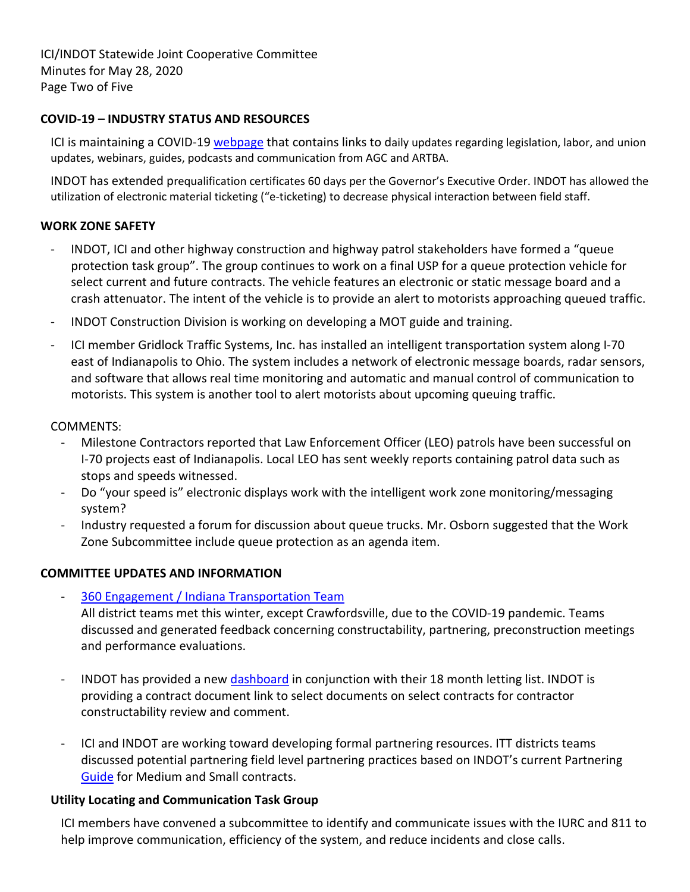ICI/INDOT Statewide Joint Cooperative Committee Minutes for May 28, 2020 Page Two of Five

#### **COVID-19 – INDUSTRY STATUS AND RESOURCES**

ICI is maintaining a COVID-19 [webpage](http://indianaconstructors.org/covid-19/) that contains links to daily updates regarding legislation, labor, and union updates, webinars, guides, podcasts and communication from AGC and ARTBA.

INDOT has extended prequalification certificates 60 days per the Governor's Executive Order. INDOT has allowed the utilization of electronic material ticketing ("e-ticketing) to decrease physical interaction between field staff.

## **WORK ZONE SAFETY**

- INDOT, ICI and other highway construction and highway patrol stakeholders have formed a "queue protection task group". The group continues to work on a final USP for a queue protection vehicle for select current and future contracts. The vehicle features an electronic or static message board and a crash attenuator. The intent of the vehicle is to provide an alert to motorists approaching queued traffic.
- INDOT Construction Division is working on developing a MOT guide and training.
- ICI member Gridlock Traffic Systems, Inc. has installed an intelligent transportation system along I-70 east of Indianapolis to Ohio. The system includes a network of electronic message boards, radar sensors, and software that allows real time monitoring and automatic and manual control of communication to motorists. This system is another tool to alert motorists about upcoming queuing traffic.

## COMMENTS:

- Milestone Contractors reported that Law Enforcement Officer (LEO) patrols have been successful on I-70 projects east of Indianapolis. Local LEO has sent weekly reports containing patrol data such as stops and speeds witnessed.
- Do "your speed is" electronic displays work with the intelligent work zone monitoring/messaging system?
- Industry requested a forum for discussion about queue trucks. Mr. Osborn suggested that the Work Zone Subcommittee include queue protection as an agenda item.

# **COMMITTEE UPDATES AND INFORMATION**

- [360 Engagement / Indiana](http://www.indianatransportationteam.org/) Transportation Team All district teams met this winter, except Crawfordsville, due to the COVID-19 pandemic. Teams discussed and generated feedback concerning constructability, partnering, preconstruction meetings and performance evaluations.
- INDOT has provided a new [dashboard](https://entapps.indot.in.gov/lettings/Dashboard) in conjunction with their 18 month letting list. INDOT is providing a contract document link to select documents on select contracts for contractor constructability review and comment.
- ICI and INDOT are working toward developing formal partnering resources. ITT districts teams discussed potential partnering field level partnering practices based on INDOT's current Partnering [Guide](https://www.in.gov/indot/div/pubs/Partnering_Handbook_for_INDOT_Projects.pdf) for Medium and Small contracts.

#### **Utility Locating and Communication Task Group**

ICI members have convened a subcommittee to identify and communicate issues with the IURC and 811 to help improve communication, efficiency of the system, and reduce incidents and close calls.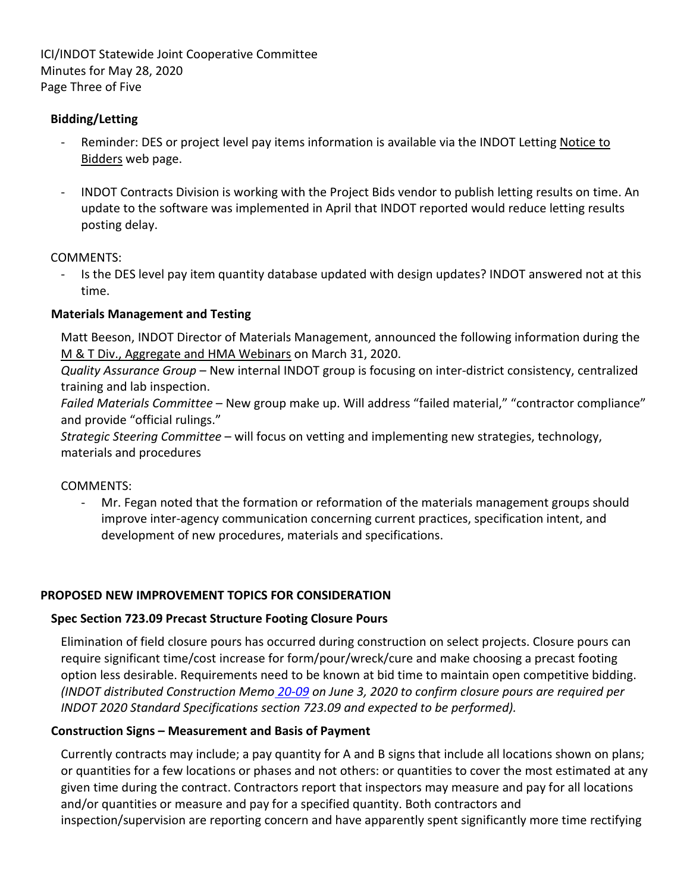ICI/INDOT Statewide Joint Cooperative Committee Minutes for May 28, 2020 Page Three of Five

# **Bidding/Letting**

- Reminder: DES or project level pay items information is available via the INDOT Letting Notice to Bidders web page.
- INDOT Contracts Division is working with the Project Bids vendor to publish letting results on time. An update to the software was implemented in April that INDOT reported would reduce letting results posting delay.

# COMMENTS:

Is the DES level pay item quantity database updated with design updates? INDOT answered not at this time.

## **Materials Management and Testing**

Matt Beeson, INDOT Director of Materials Management, announced the following information during the M & T Div., Aggregate and HMA Webinars on March 31, 2020.

*Quality Assurance Group* – New internal INDOT group is focusing on inter-district consistency, centralized training and lab inspection.

*Failed Materials Committee* – New group make up. Will address "failed material," "contractor compliance" and provide "official rulings."

*Strategic Steering Committee* – will focus on vetting and implementing new strategies, technology, materials and procedures

COMMENTS:

- Mr. Fegan noted that the formation or reformation of the materials management groups should improve inter-agency communication concerning current practices, specification intent, and development of new procedures, materials and specifications.

# **PROPOSED NEW IMPROVEMENT TOPICS FOR CONSIDERATION**

# **Spec Section 723.09 Precast Structure Footing Closure Pours**

Elimination of field closure pours has occurred during construction on select projects. Closure pours can require significant time/cost increase for form/pour/wreck/cure and make choosing a precast footing option less desirable. Requirements need to be known at bid time to maintain open competitive bidding. *(INDOT distributed Construction Memo [20-09](https://www.in.gov/dot/div/contracts/conmemo/20-09.pdf) on June 3, 2020 to confirm closure pours are required per INDOT 2020 Standard Specifications section 723.09 and expected to be performed).*

# **Construction Signs – Measurement and Basis of Payment**

Currently contracts may include; a pay quantity for A and B signs that include all locations shown on plans; or quantities for a few locations or phases and not others: or quantities to cover the most estimated at any given time during the contract. Contractors report that inspectors may measure and pay for all locations and/or quantities or measure and pay for a specified quantity. Both contractors and inspection/supervision are reporting concern and have apparently spent significantly more time rectifying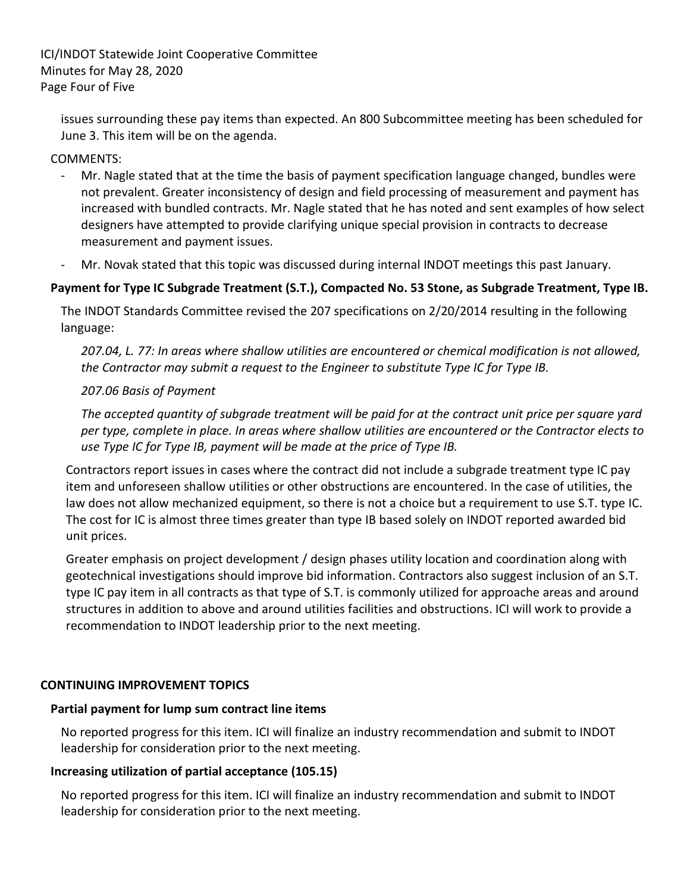ICI/INDOT Statewide Joint Cooperative Committee Minutes for May 28, 2020 Page Four of Five

issues surrounding these pay items than expected. An 800 Subcommittee meeting has been scheduled for June 3. This item will be on the agenda.

## COMMENTS:

- Mr. Nagle stated that at the time the basis of payment specification language changed, bundles were not prevalent. Greater inconsistency of design and field processing of measurement and payment has increased with bundled contracts. Mr. Nagle stated that he has noted and sent examples of how select designers have attempted to provide clarifying unique special provision in contracts to decrease measurement and payment issues.
- Mr. Novak stated that this topic was discussed during internal INDOT meetings this past January.

## **Payment for Type IC Subgrade Treatment (S.T.), Compacted No. 53 Stone, as Subgrade Treatment, Type IB.**

The INDOT Standards Committee revised the 207 specifications on 2/20/2014 resulting in the following language:

*207.04, L. 77: In areas where shallow utilities are encountered or chemical modification is not allowed, the Contractor may submit a request to the Engineer to substitute Type IC for Type IB.*

#### *207.06 Basis of Payment*

*The accepted quantity of subgrade treatment will be paid for at the contract unit price per square yard per type, complete in place. In areas where shallow utilities are encountered or the Contractor elects to use Type IC for Type IB, payment will be made at the price of Type IB.*

Contractors report issues in cases where the contract did not include a subgrade treatment type IC pay item and unforeseen shallow utilities or other obstructions are encountered. In the case of utilities, the law does not allow mechanized equipment, so there is not a choice but a requirement to use S.T. type IC. The cost for IC is almost three times greater than type IB based solely on INDOT reported awarded bid unit prices.

Greater emphasis on project development / design phases utility location and coordination along with geotechnical investigations should improve bid information. Contractors also suggest inclusion of an S.T. type IC pay item in all contracts as that type of S.T. is commonly utilized for approache areas and around structures in addition to above and around utilities facilities and obstructions. ICI will work to provide a recommendation to INDOT leadership prior to the next meeting.

#### **CONTINUING IMPROVEMENT TOPICS**

#### **Partial payment for lump sum contract line items**

No reported progress for this item. ICI will finalize an industry recommendation and submit to INDOT leadership for consideration prior to the next meeting.

#### **Increasing utilization of partial acceptance (105.15)**

No reported progress for this item. ICI will finalize an industry recommendation and submit to INDOT leadership for consideration prior to the next meeting.